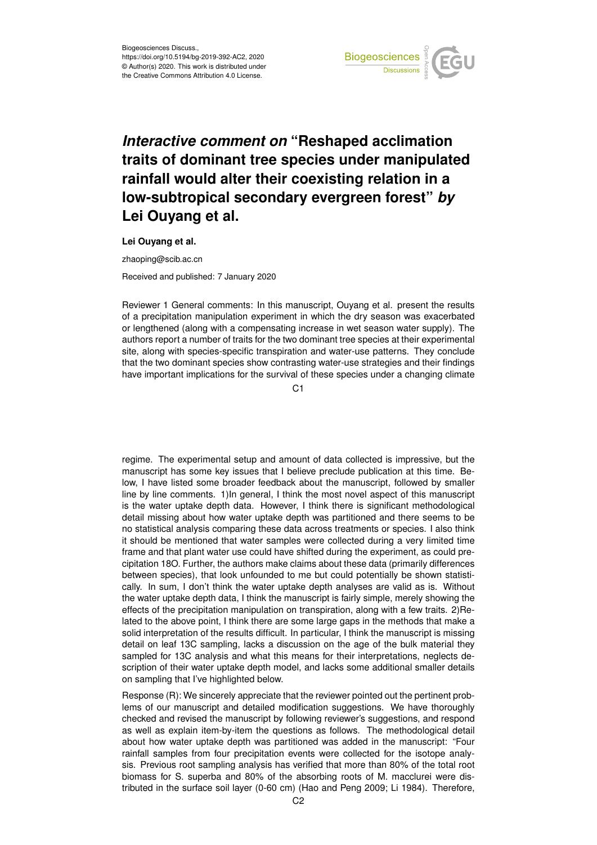

## *Interactive comment on* **"Reshaped acclimation traits of dominant tree species under manipulated rainfall would alter their coexisting relation in a low-subtropical secondary evergreen forest"** *by* **Lei Ouyang et al.**

**Lei Ouyang et al.**

zhaoping@scib.ac.cn

Received and published: 7 January 2020

Reviewer 1 General comments: In this manuscript, Ouyang et al. present the results of a precipitation manipulation experiment in which the dry season was exacerbated or lengthened (along with a compensating increase in wet season water supply). The authors report a number of traits for the two dominant tree species at their experimental site, along with species-specific transpiration and water-use patterns. They conclude that the two dominant species show contrasting water-use strategies and their findings have important implications for the survival of these species under a changing climate

 $C<sub>1</sub>$ 

regime. The experimental setup and amount of data collected is impressive, but the manuscript has some key issues that I believe preclude publication at this time. Below, I have listed some broader feedback about the manuscript, followed by smaller line by line comments. 1)In general, I think the most novel aspect of this manuscript is the water uptake depth data. However, I think there is significant methodological detail missing about how water uptake depth was partitioned and there seems to be no statistical analysis comparing these data across treatments or species. I also think it should be mentioned that water samples were collected during a very limited time frame and that plant water use could have shifted during the experiment, as could precipitation 18O. Further, the authors make claims about these data (primarily differences between species), that look unfounded to me but could potentially be shown statistically. In sum, I don't think the water uptake depth analyses are valid as is. Without the water uptake depth data, I think the manuscript is fairly simple, merely showing the effects of the precipitation manipulation on transpiration, along with a few traits. 2)Related to the above point, I think there are some large gaps in the methods that make a solid interpretation of the results difficult. In particular, I think the manuscript is missing detail on leaf 13C sampling, lacks a discussion on the age of the bulk material they sampled for 13C analysis and what this means for their interpretations, neglects description of their water uptake depth model, and lacks some additional smaller details on sampling that I've highlighted below.

Response (R): We sincerely appreciate that the reviewer pointed out the pertinent problems of our manuscript and detailed modification suggestions. We have thoroughly checked and revised the manuscript by following reviewer's suggestions, and respond as well as explain item-by-item the questions as follows. The methodological detail about how water uptake depth was partitioned was added in the manuscript: "Four rainfall samples from four precipitation events were collected for the isotope analysis. Previous root sampling analysis has verified that more than 80% of the total root biomass for S. superba and 80% of the absorbing roots of M. macclurei were distributed in the surface soil layer (0-60 cm) (Hao and Peng 2009; Li 1984). Therefore,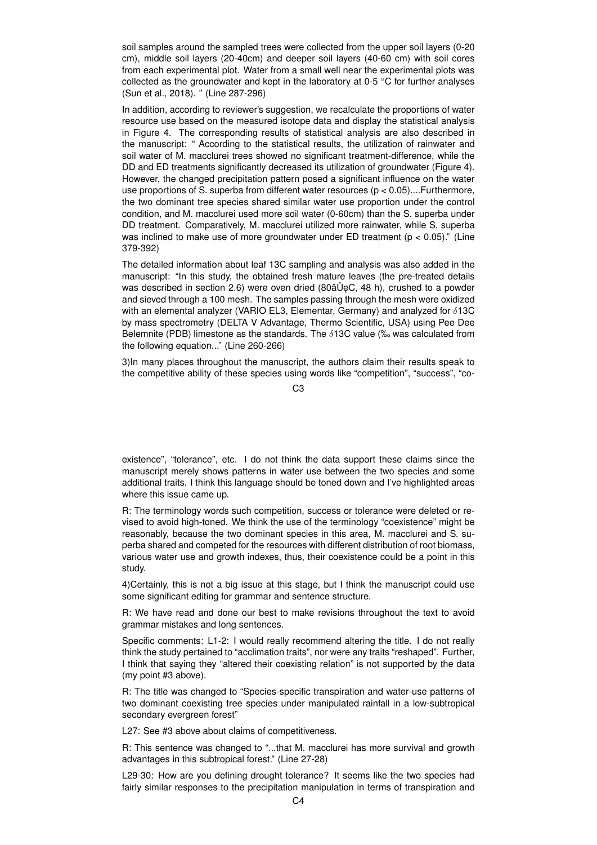soil samples around the sampled trees were collected from the upper soil layers (0-20 cm), middle soil layers (20-40cm) and deeper soil layers (40-60 cm) with soil cores from each experimental plot. Water from a small well near the experimental plots was collected as the groundwater and kept in the laboratory at  $0.5 \degree C$  for further analyses (Sun et al., 2018). " (Line 287-296)

In addition, according to reviewer's suggestion, we recalculate the proportions of water resource use based on the measured isotope data and display the statistical analysis in Figure 4. The corresponding results of statistical analysis are also described in the manuscript: " According to the statistical results, the utilization of rainwater and soil water of M. macclurei trees showed no significant treatment-difference, while the DD and ED treatments significantly decreased its utilization of groundwater (Figure 4). However, the changed precipitation pattern posed a significant influence on the water use proportions of S. superba from different water resources (p < 0.05)....Furthermore, the two dominant tree species shared similar water use proportion under the control condition, and M. macclurei used more soil water (0-60cm) than the S. superba under DD treatment. Comparatively, M. macclurei utilized more rainwater, while S. superba was inclined to make use of more groundwater under ED treatment ( $p < 0.05$ )." (Line 379-392)

The detailed information about leaf 13C sampling and analysis was also added in the manuscript: "In this study, the obtained fresh mature leaves (the pre-treated details was described in section 2.6) were oven dried  $(80\text{a} \text{u} \text{d})$  a powder  $\text{u}$ and sieved through a 100 mesh. The samples passing through the mesh were oxidized with an elemental analyzer (VARIO EL3, Elementar, Germany) and analyzed for  $\delta$ 13C by mass spectrometry (DELTA V Advantage, Thermo Scientific, USA) using Pee Dee Belemnite (PDB) limestone as the standards. The  $\delta$ 13C value (% was calculated from the following equation..." (Line 260-266)

3)In many places throughout the manuscript, the authors claim their results speak to the competitive ability of these species using words like "competition", "success", "co-

C3

existence", "tolerance", etc. I do not think the data support these claims since the manuscript merely shows patterns in water use between the two species and some additional traits. I think this language should be toned down and I've highlighted areas where this issue came up.

R: The terminology words such competition, success or tolerance were deleted or revised to avoid high-toned. We think the use of the terminology "coexistence" might be reasonably, because the two dominant species in this area, M. macclurei and S. superba shared and competed for the resources with different distribution of root biomass, various water use and growth indexes, thus, their coexistence could be a point in this study.

4)Certainly, this is not a big issue at this stage, but I think the manuscript could use some significant editing for grammar and sentence structure.

R: We have read and done our best to make revisions throughout the text to avoid grammar mistakes and long sentences.

Specific comments: L1-2: I would really recommend altering the title. I do not really think the study pertained to "acclimation traits", nor were any traits "reshaped". Further, I think that saying they "altered their coexisting relation" is not supported by the data (my point #3 above).

R: The title was changed to "Species-specific transpiration and water-use patterns of two dominant coexisting tree species under manipulated rainfall in a low-subtropical secondary evergreen forest"

L27: See #3 above about claims of competitiveness.

R: This sentence was changed to "...that M. macclurei has more survival and growth advantages in this subtropical forest." (Line 27-28)

L29-30: How are you defining drought tolerance? It seems like the two species had fairly similar responses to the precipitation manipulation in terms of transpiration and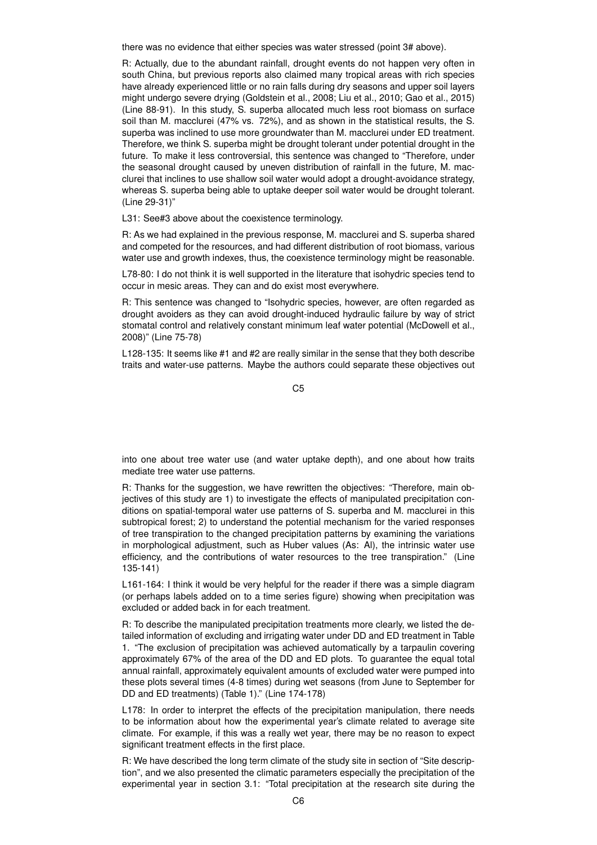there was no evidence that either species was water stressed (point 3# above).

R: Actually, due to the abundant rainfall, drought events do not happen very often in south China, but previous reports also claimed many tropical areas with rich species have already experienced little or no rain falls during dry seasons and upper soil layers might undergo severe drying (Goldstein et al., 2008; Liu et al., 2010; Gao et al., 2015) (Line 88-91). In this study, S. superba allocated much less root biomass on surface soil than M. macclurei (47% vs. 72%), and as shown in the statistical results, the S. superba was inclined to use more groundwater than M. macclurei under ED treatment. Therefore, we think S. superba might be drought tolerant under potential drought in the future. To make it less controversial, this sentence was changed to "Therefore, under the seasonal drought caused by uneven distribution of rainfall in the future, M. macclurei that inclines to use shallow soil water would adopt a drought-avoidance strategy, whereas S. superba being able to uptake deeper soil water would be drought tolerant. (Line 29-31)"

L31: See#3 above about the coexistence terminology.

R: As we had explained in the previous response, M. macclurei and S. superba shared and competed for the resources, and had different distribution of root biomass, various water use and growth indexes, thus, the coexistence terminology might be reasonable.

L78-80: I do not think it is well supported in the literature that isohydric species tend to occur in mesic areas. They can and do exist most everywhere.

R: This sentence was changed to "Isohydric species, however, are often regarded as drought avoiders as they can avoid drought-induced hydraulic failure by way of strict stomatal control and relatively constant minimum leaf water potential (McDowell et al., 2008)" (Line 75-78)

L128-135: It seems like #1 and #2 are really similar in the sense that they both describe traits and water-use patterns. Maybe the authors could separate these objectives out

C5

into one about tree water use (and water uptake depth), and one about how traits mediate tree water use patterns.

R: Thanks for the suggestion, we have rewritten the objectives: "Therefore, main objectives of this study are 1) to investigate the effects of manipulated precipitation conditions on spatial-temporal water use patterns of S. superba and M. macclurei in this subtropical forest; 2) to understand the potential mechanism for the varied responses of tree transpiration to the changed precipitation patterns by examining the variations in morphological adjustment, such as Huber values (As: Al), the intrinsic water use efficiency, and the contributions of water resources to the tree transpiration." (Line 135-141)

L161-164: I think it would be very helpful for the reader if there was a simple diagram (or perhaps labels added on to a time series figure) showing when precipitation was excluded or added back in for each treatment.

R: To describe the manipulated precipitation treatments more clearly, we listed the detailed information of excluding and irrigating water under DD and ED treatment in Table 1. "The exclusion of precipitation was achieved automatically by a tarpaulin covering approximately 67% of the area of the DD and ED plots. To guarantee the equal total annual rainfall, approximately equivalent amounts of excluded water were pumped into these plots several times (4-8 times) during wet seasons (from June to September for DD and ED treatments) (Table 1)." (Line 174-178)

L178: In order to interpret the effects of the precipitation manipulation, there needs to be information about how the experimental year's climate related to average site climate. For example, if this was a really wet year, there may be no reason to expect significant treatment effects in the first place.

R: We have described the long term climate of the study site in section of "Site description", and we also presented the climatic parameters especially the precipitation of the experimental year in section 3.1: "Total precipitation at the research site during the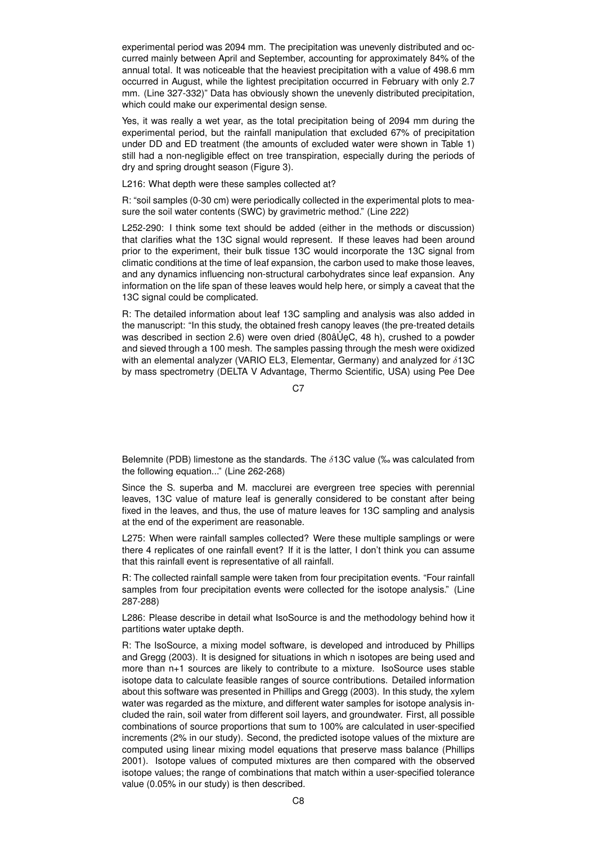experimental period was 2094 mm. The precipitation was unevenly distributed and occurred mainly between April and September, accounting for approximately 84% of the annual total. It was noticeable that the heaviest precipitation with a value of 498.6 mm occurred in August, while the lightest precipitation occurred in February with only 2.7 mm. (Line 327-332)" Data has obviously shown the unevenly distributed precipitation, which could make our experimental design sense.

Yes, it was really a wet year, as the total precipitation being of 2094 mm during the experimental period, but the rainfall manipulation that excluded 67% of precipitation under DD and ED treatment (the amounts of excluded water were shown in Table 1) still had a non-negligible effect on tree transpiration, especially during the periods of dry and spring drought season (Figure 3).

L216: What depth were these samples collected at?

R: "soil samples (0-30 cm) were periodically collected in the experimental plots to measure the soil water contents (SWC) by gravimetric method." (Line 222)

L252-290: I think some text should be added (either in the methods or discussion) that clarifies what the 13C signal would represent. If these leaves had been around prior to the experiment, their bulk tissue 13C would incorporate the 13C signal from climatic conditions at the time of leaf expansion, the carbon used to make those leaves, and any dynamics influencing non-structural carbohydrates since leaf expansion. Any information on the life span of these leaves would help here, or simply a caveat that the 13C signal could be complicated.

R: The detailed information about leaf 13C sampling and analysis was also added in the manuscript: "In this study, the obtained fresh canopy leaves (the pre-treated details was described in section 2.6) were oven dried (80âŮeC, 48 h), crushed to a powder and sieved through a 100 mesh. The samples passing through the mesh were oxidized with an elemental analyzer (VARIO EL3, Elementar, Germany) and analyzed for  $\delta$ 13C by mass spectrometry (DELTA V Advantage, Thermo Scientific, USA) using Pee Dee

C<sub>7</sub>

Belemnite (PDB) limestone as the standards. The  $\delta$ 13C value (‰ was calculated from the following equation..." (Line 262-268)

Since the S. superba and M. macclurei are evergreen tree species with perennial leaves, 13C value of mature leaf is generally considered to be constant after being fixed in the leaves, and thus, the use of mature leaves for 13C sampling and analysis at the end of the experiment are reasonable.

L275: When were rainfall samples collected? Were these multiple samplings or were there 4 replicates of one rainfall event? If it is the latter, I don't think you can assume that this rainfall event is representative of all rainfall.

R: The collected rainfall sample were taken from four precipitation events. "Four rainfall samples from four precipitation events were collected for the isotope analysis." (Line 287-288)

L286: Please describe in detail what IsoSource is and the methodology behind how it partitions water uptake depth.

R: The IsoSource, a mixing model software, is developed and introduced by Phillips and Gregg (2003). It is designed for situations in which n isotopes are being used and more than n+1 sources are likely to contribute to a mixture. IsoSource uses stable isotope data to calculate feasible ranges of source contributions. Detailed information about this software was presented in Phillips and Gregg (2003). In this study, the xylem water was regarded as the mixture, and different water samples for isotope analysis included the rain, soil water from different soil layers, and groundwater. First, all possible combinations of source proportions that sum to 100% are calculated in user-specified increments (2% in our study). Second, the predicted isotope values of the mixture are computed using linear mixing model equations that preserve mass balance (Phillips 2001). Isotope values of computed mixtures are then compared with the observed isotope values; the range of combinations that match within a user-specified tolerance value (0.05% in our study) is then described.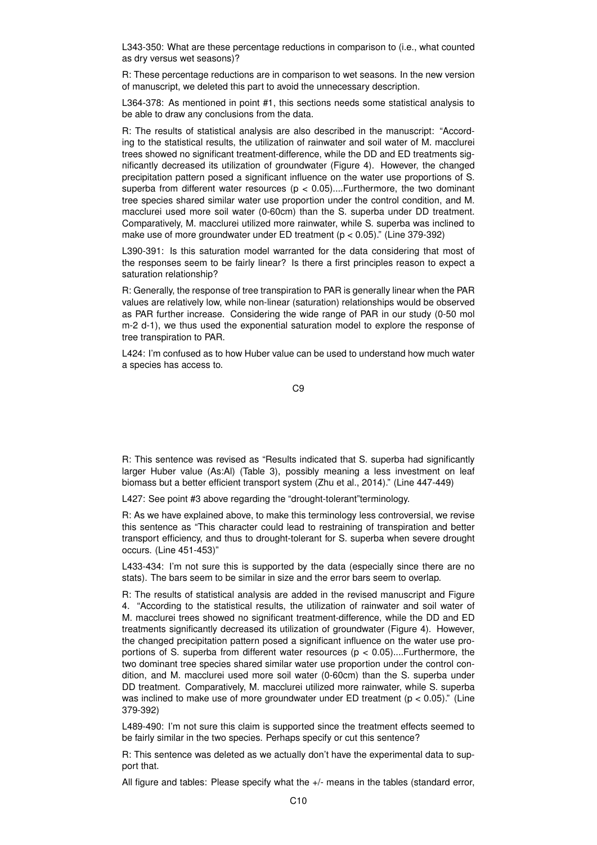L343-350: What are these percentage reductions in comparison to (i.e., what counted as dry versus wet seasons)?

R: These percentage reductions are in comparison to wet seasons. In the new version of manuscript, we deleted this part to avoid the unnecessary description.

L364-378: As mentioned in point #1, this sections needs some statistical analysis to be able to draw any conclusions from the data.

R: The results of statistical analysis are also described in the manuscript: "According to the statistical results, the utilization of rainwater and soil water of M. macclurei trees showed no significant treatment-difference, while the DD and ED treatments significantly decreased its utilization of groundwater (Figure 4). However, the changed precipitation pattern posed a significant influence on the water use proportions of S. superba from different water resources ( $p < 0.05$ )....Furthermore, the two dominant tree species shared similar water use proportion under the control condition, and M. macclurei used more soil water (0-60cm) than the S. superba under DD treatment. Comparatively, M. macclurei utilized more rainwater, while S. superba was inclined to make use of more groundwater under ED treatment (p < 0.05)." (Line 379-392)

L390-391: Is this saturation model warranted for the data considering that most of the responses seem to be fairly linear? Is there a first principles reason to expect a saturation relationship?

R: Generally, the response of tree transpiration to PAR is generally linear when the PAR values are relatively low, while non-linear (saturation) relationships would be observed as PAR further increase. Considering the wide range of PAR in our study (0-50 mol m-2 d-1), we thus used the exponential saturation model to explore the response of tree transpiration to PAR.

L424: I'm confused as to how Huber value can be used to understand how much water a species has access to.

C9

R: This sentence was revised as "Results indicated that S. superba had significantly larger Huber value (As:Al) (Table 3), possibly meaning a less investment on leaf biomass but a better efficient transport system (Zhu et al., 2014)." (Line 447-449)

L427: See point #3 above regarding the "drought-tolerant"terminology.

R: As we have explained above, to make this terminology less controversial, we revise this sentence as "This character could lead to restraining of transpiration and better transport efficiency, and thus to drought-tolerant for S. superba when severe drought occurs. (Line 451-453)"

L433-434: I'm not sure this is supported by the data (especially since there are no stats). The bars seem to be similar in size and the error bars seem to overlap.

R: The results of statistical analysis are added in the revised manuscript and Figure 4. "According to the statistical results, the utilization of rainwater and soil water of M. macclurei trees showed no significant treatment-difference, while the DD and ED treatments significantly decreased its utilization of groundwater (Figure 4). However, the changed precipitation pattern posed a significant influence on the water use proportions of S. superba from different water resources ( $p < 0.05$ )....Furthermore, the two dominant tree species shared similar water use proportion under the control condition, and M. macclurei used more soil water (0-60cm) than the S. superba under DD treatment. Comparatively, M. macclurei utilized more rainwater, while S. superba was inclined to make use of more groundwater under ED treatment ( $p < 0.05$ )." (Line 379-392)

L489-490: I'm not sure this claim is supported since the treatment effects seemed to be fairly similar in the two species. Perhaps specify or cut this sentence?

R: This sentence was deleted as we actually don't have the experimental data to support that.

All figure and tables: Please specify what the +/- means in the tables (standard error,